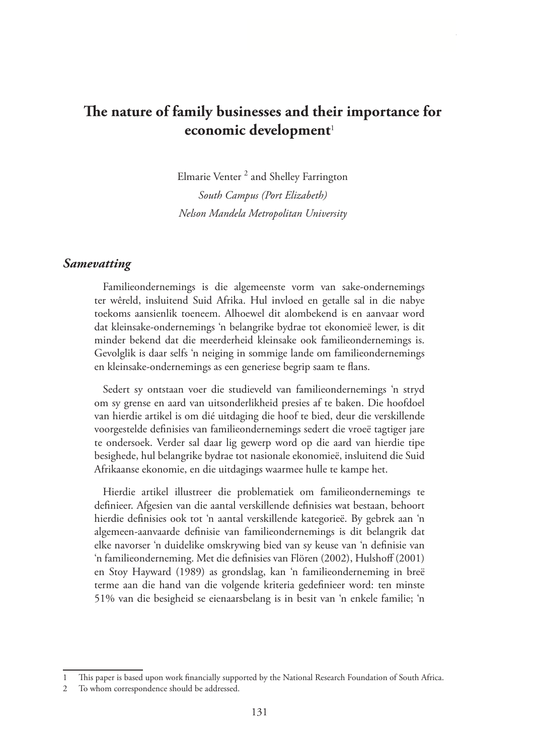# **The nature of family businesses and their importance for economic development**<sup>1</sup>

Elmarie Venter<sup>2</sup> and Shelley Farrington *South Campus (Port Elizabeth) Nelson Mandela Metropolitan University*

#### *Samevatting*

Familieondernemings is die algemeenste vorm van sake-ondernemings ter wêreld, insluitend Suid Afrika. Hul invloed en getalle sal in die nabye toekoms aansienlik toeneem. Alhoewel dit alombekend is en aanvaar word dat kleinsake-ondernemings 'n belangrike bydrae tot ekonomieë lewer, is dit minder bekend dat die meerderheid kleinsake ook familieondernemings is. Gevolglik is daar selfs 'n neiging in sommige lande om familieondernemings en kleinsake-ondernemings as een generiese begrip saam te flans.

Sedert sy ontstaan voer die studieveld van familieondernemings 'n stryd om sy grense en aard van uitsonderlikheid presies af te baken. Die hoofdoel van hierdie artikel is om dié uitdaging die hoof te bied, deur die verskillende voorgestelde definisies van familieondernemings sedert die vroeë tagtiger jare te ondersoek. Verder sal daar lig gewerp word op die aard van hierdie tipe besighede, hul belangrike bydrae tot nasionale ekonomieë, insluitend die Suid Afrikaanse ekonomie, en die uitdagings waarmee hulle te kampe het.

Hierdie artikel illustreer die problematiek om familieondernemings te definieer. Afgesien van die aantal verskillende definisies wat bestaan, behoort hierdie definisies ook tot 'n aantal verskillende kategorieë. By gebrek aan 'n algemeen-aanvaarde definisie van familieondernemings is dit belangrik dat elke navorser 'n duidelike omskrywing bied van sy keuse van 'n definisie van 'n familieonderneming. Met die definisies van Flören (2002), Hulshoff (2001) en Stoy Hayward (1989) as grondslag, kan 'n familieonderneming in breë terme aan die hand van die volgende kriteria gedefinieer word: ten minste 51% van die besigheid se eienaarsbelang is in besit van 'n enkele familie; 'n

<sup>1</sup> This paper is based upon work financially supported by the National Research Foundation of South Africa.

<sup>2</sup> To whom correspondence should be addressed.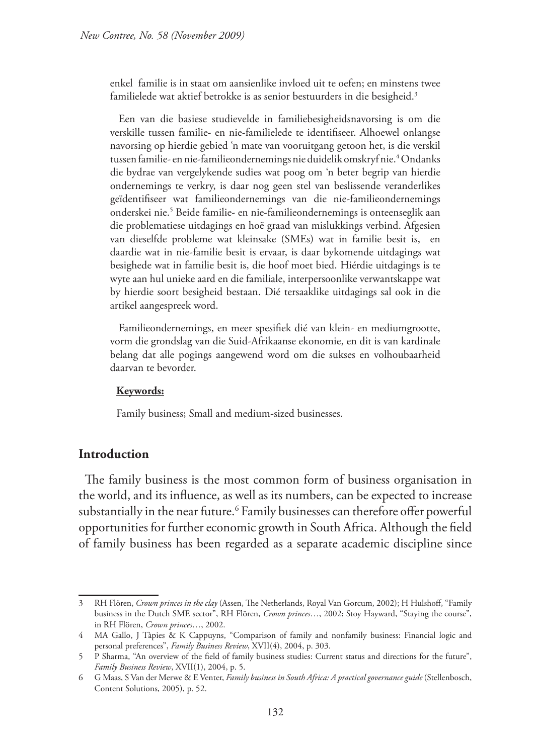enkel familie is in staat om aansienlike invloed uit te oefen; en minstens twee familielede wat aktief betrokke is as senior bestuurders in die besigheid.<sup>3</sup>

Een van die basiese studievelde in familiebesigheidsnavorsing is om die verskille tussen familie- en nie-familielede te identifiseer. Alhoewel onlangse navorsing op hierdie gebied 'n mate van vooruitgang getoon het, is die verskil tussen familie- en nie-familieondernemings nie duidelik omskryf nie.4 Ondanks die bydrae van vergelykende sudies wat poog om 'n beter begrip van hierdie ondernemings te verkry, is daar nog geen stel van beslissende veranderlikes geïdentifiseer wat familieondernemings van die nie-familieondernemings onderskei nie.5 Beide familie- en nie-familieondernemings is onteenseglik aan die problematiese uitdagings en hoë graad van mislukkings verbind. Afgesien van dieselfde probleme wat kleinsake (SMEs) wat in familie besit is, en daardie wat in nie-familie besit is ervaar, is daar bykomende uitdagings wat besighede wat in familie besit is, die hoof moet bied. Hiérdie uitdagings is te wyte aan hul unieke aard en die familiale, interpersoonlike verwantskappe wat by hierdie soort besigheid bestaan. Dié tersaaklike uitdagings sal ook in die artikel aangespreek word.

Familieondernemings, en meer spesifiek dié van klein- en mediumgrootte, vorm die grondslag van die Suid-Afrikaanse ekonomie, en dit is van kardinale belang dat alle pogings aangewend word om die sukses en volhoubaarheid daarvan te bevorder.

#### **Keywords:**

Family business; Small and medium-sized businesses.

#### **Introduction**

The family business is the most common form of business organisation in the world, and its influence, as well as its numbers, can be expected to increase substantially in the near future.6 Family businesses can therefore offer powerful opportunities for further economic growth in South Africa. Although the field of family business has been regarded as a separate academic discipline since

<sup>3</sup> RH Flören, *Crown princes in the clay* (Assen, The Netherlands, Royal Van Gorcum, 2002); H Hulshoff, "Family business in the Dutch SME sector", RH Flören, *Crown princes*…, 2002; Stoy Hayward, "Staying the course", in RH Flören, *Crown princes*…, 2002.

<sup>4</sup> MA Gallo, J Tàpies & K Cappuyns, "Comparison of family and nonfamily business: Financial logic and personal preferences", *Family Business Review*, XVII(4), 2004, p. 303.

<sup>5</sup> P Sharma, "An overview of the field of family business studies: Current status and directions for the future", *Family Business Review*, XVII(1), 2004, p. 5.

<sup>6</sup> G Maas, S Van der Merwe & E Venter, *Family business in South Africa: A practical governance guide* (Stellenbosch, Content Solutions, 2005), p. 52.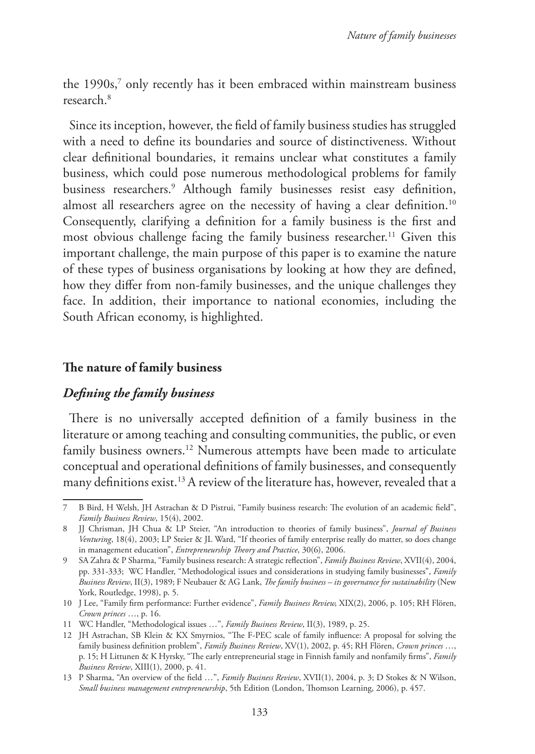the 1990s,<sup>7</sup> only recently has it been embraced within mainstream business research.8

Since its inception, however, the field of family business studies has struggled with a need to define its boundaries and source of distinctiveness. Without clear definitional boundaries, it remains unclear what constitutes a family business, which could pose numerous methodological problems for family business researchers.9 Although family businesses resist easy definition, almost all researchers agree on the necessity of having a clear definition.<sup>10</sup> Consequently, clarifying a definition for a family business is the first and most obvious challenge facing the family business researcher.<sup>11</sup> Given this important challenge, the main purpose of this paper is to examine the nature of these types of business organisations by looking at how they are defined, how they differ from non-family businesses, and the unique challenges they face. In addition, their importance to national economies, including the South African economy, is highlighted.

### **The nature of family business**

### *Defining the family business*

There is no universally accepted definition of a family business in the literature or among teaching and consulting communities, the public, or even family business owners.<sup>12</sup> Numerous attempts have been made to articulate conceptual and operational definitions of family businesses, and consequently many definitions exist.<sup>13</sup> A review of the literature has, however, revealed that a

<sup>7</sup> B Bird, H Welsh, JH Astrachan & D Pistrui, "Family business research: The evolution of an academic field", *Family Business Review*, 15(4), 2002.

<sup>8</sup> JJ Chrisman, JH Chua & LP Steier, "An introduction to theories of family business", *Journal of Business Venturing*, 18(4), 2003; LP Steier & JL Ward, "If theories of family enterprise really do matter, so does change in management education", *Entrepreneurship Theory and Practice*, 30(6), 2006.

<sup>9</sup> SA Zahra & P Sharma, "Family business research: A strategic reflection", *Family Business Review*, XVII(4), 2004, pp. 331-333; WC Handler, "Methodological issues and considerations in studying family businesses", *Family Business Review*, II(3), 1989; F Neubauer & AG Lank, *The family business – its governance for sustainability* (New York, Routledge, 1998), p. 5.

<sup>10</sup> J Lee, "Family firm performance: Further evidence", *Family Business Review,* XIX(2), 2006, p. 105; RH Flören, *Crown princes* …, p. 16.

<sup>11</sup> WC Handler, "Methodological issues …", *Family Business Review*, II(3), 1989, p. 25.

<sup>12</sup> JH Astrachan, SB Klein & KX Smyrnios, "The F-PEC scale of family influence: A proposal for solving the family business definition problem", *Family Business Review*, XV(1), 2002, p. 45; RH Flören, *Crown princes* …, p. 15; H Littunen & K Hyrsky, "The early entrepreneurial stage in Finnish family and nonfamily firms", *Family Business Review*, XIII(1), 2000, p. 41.

<sup>13</sup> P Sharma, "An overview of the field …", *Family Business Review*, XVII(1), 2004, p. 3; D Stokes & N Wilson, *Small business management entrepreneurship*, 5th Edition (London, Thomson Learning, 2006), p. 457.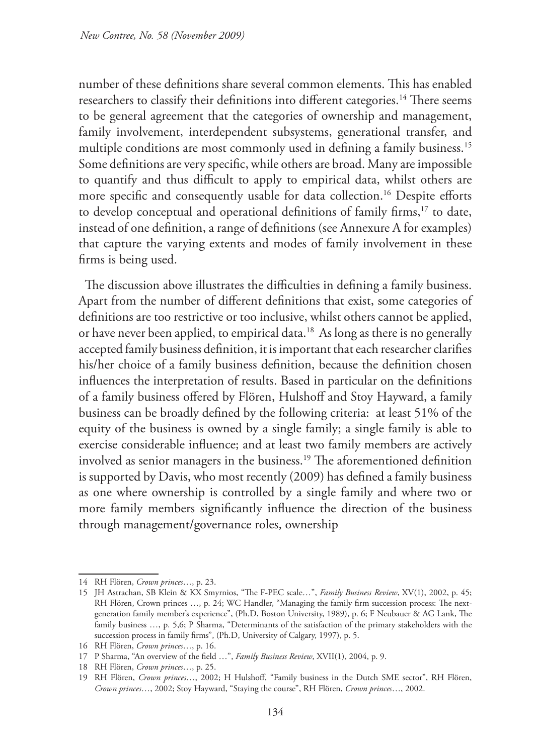number of these definitions share several common elements. This has enabled researchers to classify their definitions into different categories.<sup>14</sup> There seems to be general agreement that the categories of ownership and management, family involvement, interdependent subsystems, generational transfer, and multiple conditions are most commonly used in defining a family business.<sup>15</sup> Some definitions are very specific, while others are broad. Many are impossible to quantify and thus difficult to apply to empirical data, whilst others are more specific and consequently usable for data collection.<sup>16</sup> Despite efforts to develop conceptual and operational definitions of family firms,<sup>17</sup> to date, instead of one definition, a range of definitions (see Annexure A for examples) that capture the varying extents and modes of family involvement in these firms is being used.

The discussion above illustrates the difficulties in defining a family business. Apart from the number of different definitions that exist, some categories of definitions are too restrictive or too inclusive, whilst others cannot be applied, or have never been applied, to empirical data.<sup>18</sup> As long as there is no generally accepted family business definition, it is important that each researcher clarifies his/her choice of a family business definition, because the definition chosen influences the interpretation of results. Based in particular on the definitions of a family business offered by Flören, Hulshoff and Stoy Hayward, a family business can be broadly defined by the following criteria: at least 51% of the equity of the business is owned by a single family; a single family is able to exercise considerable influence; and at least two family members are actively involved as senior managers in the business.19 The aforementioned definition is supported by Davis, who most recently (2009) has defined a family business as one where ownership is controlled by a single family and where two or more family members significantly influence the direction of the business through management/governance roles, ownership

<sup>14</sup> RH Flören, *Crown princes*…, p. 23.

<sup>15</sup> JH Astrachan, SB Klein & KX Smyrnios, "The F-PEC scale…", *Family Business Review*, XV(1), 2002, p. 45; RH Flören, Crown princes …, p. 24; WC Handler, "Managing the family firm succession process: The nextgeneration family member's experience", (Ph.D, Boston University, 1989), p. 6; F Neubauer & AG Lank, The family business …, p. 5,6; P Sharma, "Determinants of the satisfaction of the primary stakeholders with the succession process in family firms", (Ph.D, University of Calgary, 1997), p. 5.

<sup>16</sup> RH Flören, *Crown princes*…, p. 16.

<sup>17</sup> P Sharma, "An overview of the field …", *Family Business Review*, XVII(1), 2004, p. 9.

<sup>18</sup> RH Flören, *Crown princes*…, p. 25.

<sup>19</sup> RH Flören, *Crown princes*…, 2002; H Hulshoff, "Family business in the Dutch SME sector", RH Flören, *Crown princes*…, 2002; Stoy Hayward, "Staying the course", RH Flören, *Crown princes*…, 2002.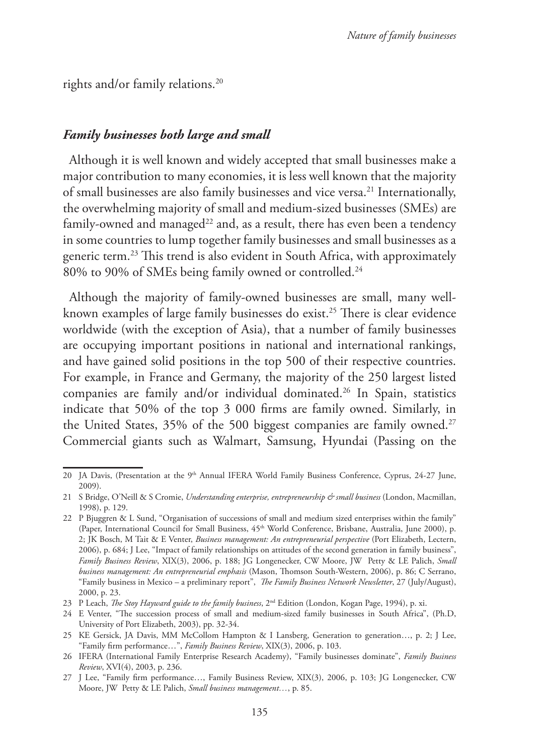rights and/or family relations.20

#### *Family businesses both large and small*

Although it is well known and widely accepted that small businesses make a major contribution to many economies, it is less well known that the majority of small businesses are also family businesses and vice versa.21 Internationally, the overwhelming majority of small and medium-sized businesses (SMEs) are family-owned and managed<sup>22</sup> and, as a result, there has even been a tendency in some countries to lump together family businesses and small businesses as a generic term.23 This trend is also evident in South Africa, with approximately 80% to 90% of SMEs being family owned or controlled.24

Although the majority of family-owned businesses are small, many wellknown examples of large family businesses do exist.<sup>25</sup> There is clear evidence worldwide (with the exception of Asia), that a number of family businesses are occupying important positions in national and international rankings, and have gained solid positions in the top 500 of their respective countries. For example, in France and Germany, the majority of the 250 largest listed companies are family and/or individual dominated.26 In Spain, statistics indicate that 50% of the top 3 000 firms are family owned. Similarly, in the United States,  $35\%$  of the 500 biggest companies are family owned.<sup>27</sup> Commercial giants such as Walmart, Samsung, Hyundai (Passing on the

<sup>20</sup> JA Davis, (Presentation at the 9<sup>th</sup> Annual IFERA World Family Business Conference, Cyprus, 24-27 June, 2009).

<sup>21</sup> S Bridge, O'Neill & S Cromie, *Understanding enterprise, entrepreneurship & small business* (London, Macmillan, 1998), p. 129.

<sup>22</sup> P Bjuggren & L Sund, "Organisation of successions of small and medium sized enterprises within the family" (Paper, International Council for Small Business, 45<sup>th</sup> World Conference, Brisbane, Australia, June 2000), p. 2; JK Bosch, M Tait & E Venter, *Business management: An entrepreneurial perspective* (Port Elizabeth, Lectern, 2006), p. 684; J Lee, "Impact of family relationships on attitudes of the second generation in family business", *Family Business Review*, XIX(3), 2006, p. 188; JG Longenecker, CW Moore, JW Petty & LE Palich, *Small business management: An entrepreneurial emphasis* (Mason, Thomson South-Western, 2006), p. 86; C Serrano, "Family business in Mexico – a preliminary report", *The Family Business Network Newsletter*, 27 (July/August), 2000, p. 23.

<sup>23</sup> P Leach, *The Stoy Hayward guide to the family business*, 2nd Edition (London, Kogan Page, 1994), p. xi.

<sup>24</sup> E Venter, "The succession process of small and medium-sized family businesses in South Africa", (Ph.D, University of Port Elizabeth, 2003), pp. 32-34.

<sup>25</sup> KE Gersick, JA Davis, MM McCollom Hampton & I Lansberg, Generation to generation…, p. 2; J Lee, "Family firm performance…", *Family Business Review*, XIX(3), 2006, p. 103.

<sup>26</sup> IFERA (International Family Enterprise Research Academy), "Family businesses dominate", *Family Business Review*, XVI(4), 2003, p. 236.

<sup>27</sup> J Lee, "Family firm performance…, Family Business Review, XIX(3), 2006, p. 103; JG Longenecker, CW Moore, JW Petty & LE Palich, *Small business management…*, p. 85.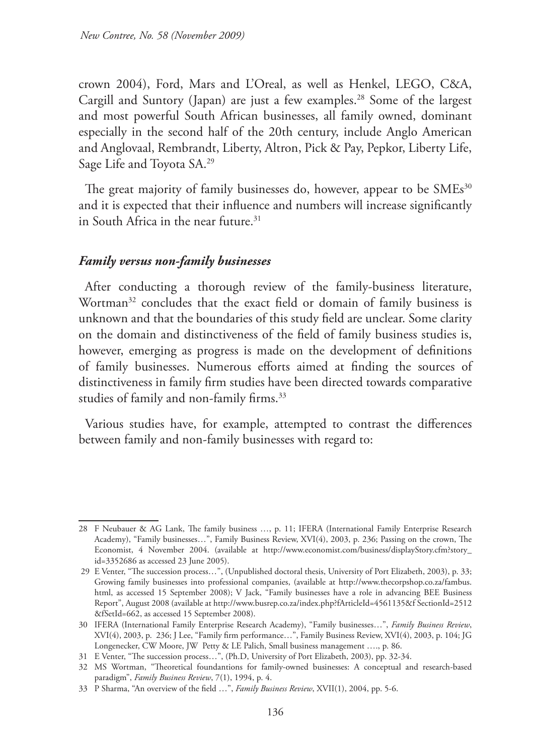crown 2004), Ford, Mars and L'Oreal, as well as Henkel, LEGO, C&A, Cargill and Suntory (Japan) are just a few examples.<sup>28</sup> Some of the largest and most powerful South African businesses, all family owned, dominant especially in the second half of the 20th century, include Anglo American and Anglovaal, Rembrandt, Liberty, Altron, Pick & Pay, Pepkor, Liberty Life, Sage Life and Toyota SA.29

The great majority of family businesses do, however, appear to be SMEs<sup>30</sup> and it is expected that their influence and numbers will increase significantly in South Africa in the near future.<sup>31</sup>

### *Family versus non-family businesses*

After conducting a thorough review of the family-business literature, Wortman<sup>32</sup> concludes that the exact field or domain of family business is unknown and that the boundaries of this study field are unclear. Some clarity on the domain and distinctiveness of the field of family business studies is, however, emerging as progress is made on the development of definitions of family businesses. Numerous efforts aimed at finding the sources of distinctiveness in family firm studies have been directed towards comparative studies of family and non-family firms.<sup>33</sup>

Various studies have, for example, attempted to contrast the differences between family and non-family businesses with regard to:

<sup>28</sup> F Neubauer & AG Lank, The family business …, p. 11; IFERA (International Family Enterprise Research Academy), "Family businesses…", Family Business Review, XVI(4), 2003, p. 236; Passing on the crown, The Economist, 4 November 2004. (available at http://www.economist.com/business/displayStory.cfm?story\_ id=3352686 as accessed 23 June 2005).

 <sup>29</sup> E Venter, "The succession process…", (Unpublished doctoral thesis, University of Port Elizabeth, 2003), p. 33; Growing family businesses into professional companies, (available at http://www.thecorpshop.co.za/fambus. html, as accessed 15 September 2008); V Jack, "Family businesses have a role in advancing BEE Business Report", August 2008 (available at http://www.busrep.co.za/index.php?fArticleId=4561135&f SectionId=2512 &fSetId=662, as accessed 15 September 2008).

<sup>30</sup> IFERA (International Family Enterprise Research Academy), "Family businesses…", *Family Business Review*, XVI(4), 2003, p. 236; J Lee, "Family firm performance…", Family Business Review, XVI(4), 2003, p. 104; JG Longenecker, CW Moore, JW Petty & LE Palich, Small business management …., p. 86.

<sup>31</sup> E Venter, "The succession process…", (Ph.D, University of Port Elizabeth, 2003), pp. 32-34.

<sup>32</sup> MS Wortman, "Theoretical foundantions for family-owned businesses: A conceptual and research-based paradigm", *Family Business Review*, 7(1), 1994, p. 4.

<sup>33</sup> P Sharma, "An overview of the field …", *Family Business Review*, XVII(1), 2004, pp. 5-6.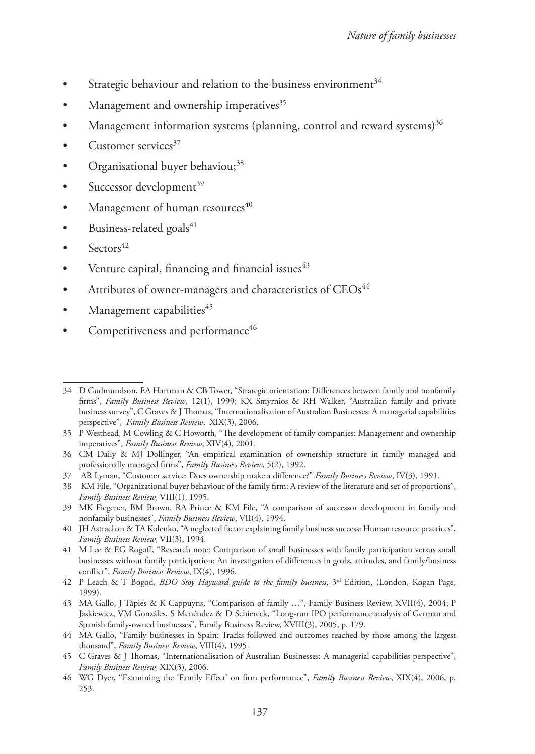- Strategic behaviour and relation to the business environment<sup>34</sup>
- Management and ownership imperatives<sup>35</sup>
- Management information systems (planning, control and reward systems)<sup>36</sup>
- Customer services<sup>37</sup>
- Organisational buyer behaviou;<sup>38</sup>
- Successor development<sup>39</sup>
- Management of human resources<sup>40</sup>
- Business-related goals $41$
- $Sectors<sup>42</sup>$
- Venture capital, financing and financial issues $43$
- Attributes of owner-managers and characteristics of CEOs<sup>44</sup>
- Management capabilities<sup>45</sup>
- Competitiveness and performance $46$

<sup>34</sup> D Gudmundson, EA Hartman & CB Tower, "Strategic orientation: Differences between family and nonfamily firms", *Family Business Review*, 12(1), 1999; KX Smyrnios & RH Walker, "Australian family and private business survey", C Graves & J Thomas, "Internationalisation of Australian Businesses: A managerial capabilities perspective", *Family Business Review*, XIX(3), 2006.

<sup>35</sup> P Westhead, M Cowling & C Howorth, "The development of family companies: Management and ownership imperatives", *Family Business Review*, XIV(4), 2001.

<sup>36</sup> CM Daily & MJ Dollinger, "An empirical examination of ownership structure in family managed and professionally managed firms", *Family Business Review*, 5(2), 1992.

<sup>37</sup> AR Lyman, "Customer service: Does ownership make a difference?" *Family Business Review*, IV(3), 1991.

<sup>38</sup> KM File, "Organizational buyer behaviour of the family firm: A review of the literature and set of proportions", *Family Business Review*, VIII(1), 1995.

<sup>39</sup> MK Fiegener, BM Brown, RA Prince & KM File, "A comparison of successor development in family and nonfamily businesses", *Family Business Review*, VII(4), 1994.

<sup>40</sup> JH Astrachan & TA Kolenko, "A neglected factor explaining family business success: Human resource practices", *Family Business Review*, VII(3), 1994.

<sup>41</sup> M Lee & EG Rogoff, "Research note: Comparison of small businesses with family participation versus small businesses without family participation: An investigation of differences in goals, attitudes, and family/business conflict", *Family Business Review*, IX(4), 1996.

<sup>42</sup> P Leach & T Bogod, *BDO Stoy Hayward guide to the family business*, 3rd Edition, (London, Kogan Page, 1999).

<sup>43</sup> MA Gallo, J Tàpies & K Cappuyns, "Comparison of family …", Family Business Review, XVII(4), 2004; P Jaskiewicz, VM Gonzáles, S Menéndez & D Schiereck, "Long-run IPO performance analysis of German and Spanish family-owned businesses", Family Business Review, XVIII(3), 2005, p. 179.

<sup>44</sup> MA Gallo, "Family businesses in Spain: Tracks followed and outcomes reached by those among the largest thousand", *Family Business Review*, VIII(4), 1995.

<sup>45</sup> C Graves & J Thomas, "Internationalisation of Australian Businesses: A managerial capabilities perspective", *Family Business Review*, XIX(3), 2006.

<sup>46</sup> WG Dyer, "Examining the 'Family Effect' on firm performance", *Family Business Review*, XIX(4), 2006, p. 253.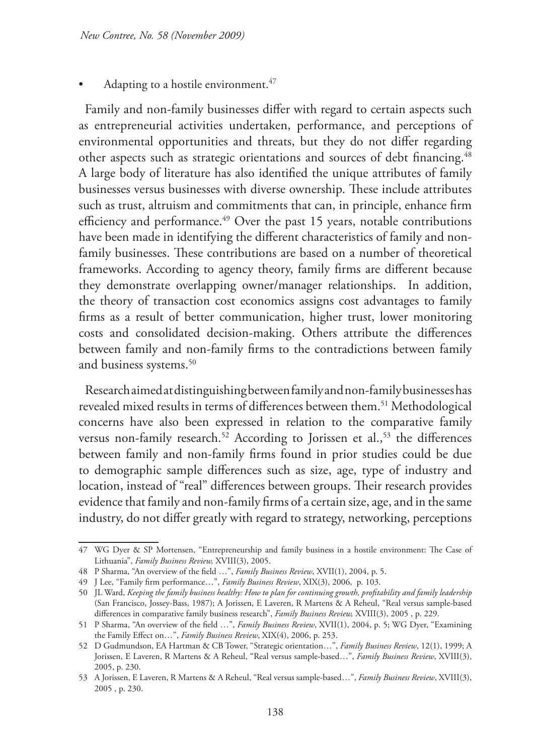Adapting to a hostile environment.<sup>47</sup>

Family and non-family businesses differ with regard to certain aspects such as entrepreneurial activities undertaken, performance, and perceptions of environmental opportunities and threats, but they do not differ regarding other aspects such as strategic orientations and sources of debt financing.<sup>48</sup> A large body of literature has also identified the unique attributes of family businesses versus businesses with diverse ownership. These include attributes such as trust, altruism and commitments that can, in principle, enhance firm efficiency and performance.<sup>49</sup> Over the past 15 years, notable contributions have been made in identifying the different characteristics of family and nonfamily businesses. These contributions are based on a number of theoretical frameworks. According to agency theory, family firms are different because they demonstrate overlapping owner/manager relationships. In addition, the theory of transaction cost economics assigns cost advantages to family firms as a result of better communication, higher trust, lower monitoring costs and consolidated decision-making. Others attribute the differences between family and non-family firms to the contradictions between family and business systems.<sup>50</sup>

Research aimed at distinguishing between family and non-family businesses has revealed mixed results in terms of differences between them.<sup>51</sup> Methodological concerns have also been expressed in relation to the comparative family versus non-family research.<sup>52</sup> According to Jorissen et al.,<sup>53</sup> the differences between family and non-family firms found in prior studies could be due to demographic sample differences such as size, age, type of industry and location, instead of "real" differences between groups. Their research provides evidence that family and non-family firms of a certain size, age, and in the same industry, do not differ greatly with regard to strategy, networking, perceptions

<sup>47</sup> WG Dyer & SP Mortensen, "Entrepreneurship and family business in a hostile environment: The Case of Lithuania", *Family Business Review,* XVIII(3), 2005.

<sup>48</sup> P Sharma, "An overview of the field …", *Family Business Review*, XVII(1), 2004, p. 5.

<sup>49</sup> J Lee, "Family firm performance…", *Family Business Review*, XIX(3), 2006, p. 103.

<sup>50</sup> JL Ward, *Keeping the family business healthy: How to plan for continuing growth, profitability and family leadership* (San Francisco, Jossey-Bass, 1987); A Jorissen, E Laveren, R Martens & A Reheul, "Real versus sample-based differences in comparative family business research", *Family Business Review,* XVIII(3), 2005 , p. 229.

<sup>51</sup> P Sharma, "An overview of the field …", *Family Business Review*, XVII(1), 2004, p. 5; WG Dyer, "Examining the Family Effect on…", *Family Business Review*, XIX(4), 2006, p. 253.

<sup>52</sup> D Gudmundson, EA Hartman & CB Tower, "Strategic orientation…", *Family Business Review*, 12(1), 1999; A Jorissen, E Laveren, R Martens & A Reheul, "Real versus sample-based…", *Family Business Review*, XVIII(3), 2005, p. 230.

<sup>53</sup> A Jorissen, E Laveren, R Martens & A Reheul, "Real versus sample-based…", *Family Business Review*, XVIII(3), 2005 , p. 230.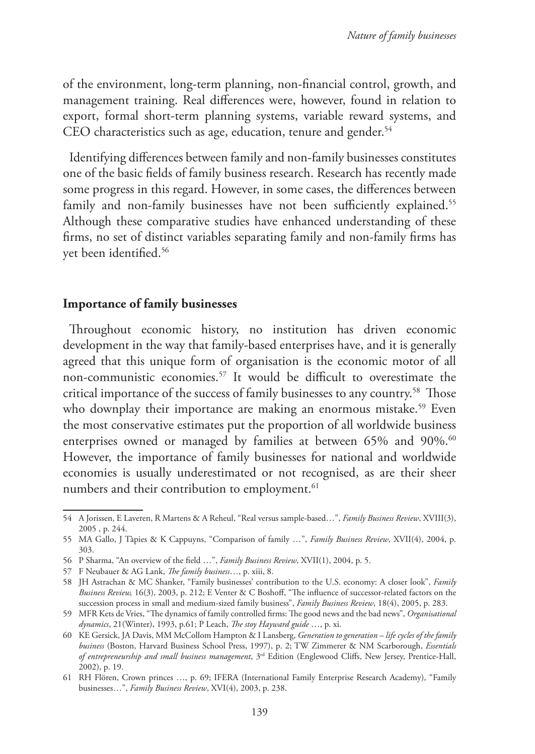of the environment, long-term planning, non-financial control, growth, and management training. Real differences were, however, found in relation to export, formal short-term planning systems, variable reward systems, and CEO characteristics such as age, education, tenure and gender.<sup>54</sup>

Identifying differences between family and non-family businesses constitutes one of the basic fields of family business research. Research has recently made some progress in this regard. However, in some cases, the differences between family and non-family businesses have not been sufficiently explained.<sup>55</sup> Although these comparative studies have enhanced understanding of these firms, no set of distinct variables separating family and non-family firms has yet been identified.56

### **Importance of family businesses**

Throughout economic history, no institution has driven economic development in the way that family-based enterprises have, and it is generally agreed that this unique form of organisation is the economic motor of all non-communistic economies.57 It would be difficult to overestimate the critical importance of the success of family businesses to any country.58 Those who downplay their importance are making an enormous mistake.<sup>59</sup> Even the most conservative estimates put the proportion of all worldwide business enterprises owned or managed by families at between 65% and 90%.<sup>60</sup> However, the importance of family businesses for national and worldwide economies is usually underestimated or not recognised, as are their sheer numbers and their contribution to employment.<sup>61</sup>

<sup>54</sup> A Jorissen, E Laveren, R Martens & A Reheul, "Real versus sample-based…", *Family Business Review*, XVIII(3), 2005 , p. 244.

<sup>55</sup> MA Gallo, J Tàpies & K Cappuyns, "Comparison of family …", *Family Business Review*, XVII(4), 2004, p. 303.

<sup>56</sup> P Sharma, "An overview of the field …", *Family Business Review*, XVII(1), 2004, p. 5.

<sup>57</sup> F Neubauer & AG Lank, *The family business*…, p. xiii, 8.

<sup>58</sup> JH Astrachan & MC Shanker, "Family businesses' contribution to the U.S. economy: A closer look", *Family Business Review,* 16(3), 2003, p. 212; E Venter & C Boshoff, "The influence of successor-related factors on the succession process in small and medium-sized family business", *Family Business Review*, 18(4), 2005, p. 283.

<sup>59</sup> MFR Kets de Vries, "The dynamics of family controlled firms: The good news and the bad news", *Organisational dynamics*, 21(Winter), 1993, p.61; P Leach, *The stoy Hayward guide* …, p. xi.

<sup>60</sup> KE Gersick, JA Davis, MM McCollom Hampton & I Lansberg, *Generation to generation – life cycles of the family business* (Boston, Harvard Business School Press, 1997), p. 2; TW Zimmerer & NM Scarborough, *Essentials of entrepreneurship and small business management*, 3rd Edition (Englewood Cliffs, New Jersey, Prentice-Hall, 2002), p. 19.

<sup>61</sup> RH Flören, Crown princes …, p. 69; IFERA (International Family Enterprise Research Academy), "Family businesses…", *Family Business Review*, XVI(4), 2003, p. 238.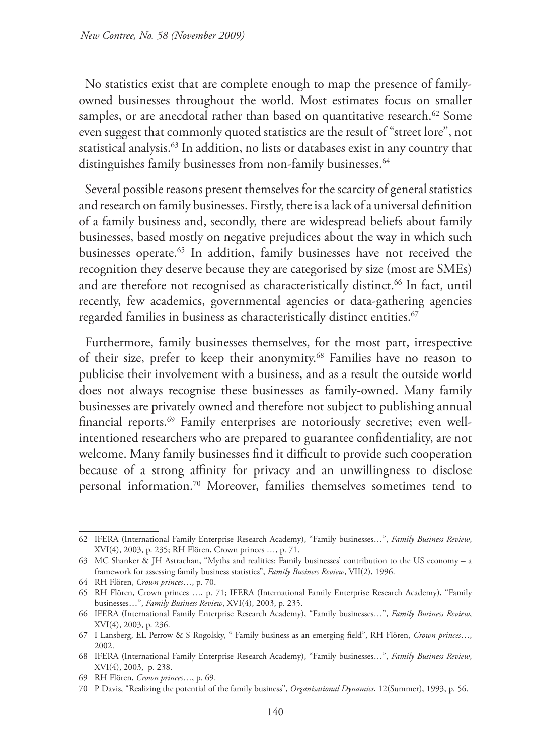No statistics exist that are complete enough to map the presence of familyowned businesses throughout the world. Most estimates focus on smaller samples, or are anecdotal rather than based on quantitative research.<sup>62</sup> Some even suggest that commonly quoted statistics are the result of "street lore", not statistical analysis.<sup>63</sup> In addition, no lists or databases exist in any country that distinguishes family businesses from non-family businesses.<sup>64</sup>

Several possible reasons present themselves for the scarcity of general statistics and research on family businesses. Firstly, there is a lack of a universal definition of a family business and, secondly, there are widespread beliefs about family businesses, based mostly on negative prejudices about the way in which such businesses operate.<sup>65</sup> In addition, family businesses have not received the recognition they deserve because they are categorised by size (most are SMEs) and are therefore not recognised as characteristically distinct.<sup>66</sup> In fact, until recently, few academics, governmental agencies or data-gathering agencies regarded families in business as characteristically distinct entities.<sup>67</sup>

Furthermore, family businesses themselves, for the most part, irrespective of their size, prefer to keep their anonymity.<sup>68</sup> Families have no reason to publicise their involvement with a business, and as a result the outside world does not always recognise these businesses as family-owned. Many family businesses are privately owned and therefore not subject to publishing annual financial reports.<sup>69</sup> Family enterprises are notoriously secretive; even wellintentioned researchers who are prepared to guarantee confidentiality, are not welcome. Many family businesses find it difficult to provide such cooperation because of a strong affinity for privacy and an unwillingness to disclose personal information.70 Moreover, families themselves sometimes tend to

<sup>62</sup> IFERA (International Family Enterprise Research Academy), "Family businesses…", *Family Business Review*, XVI(4), 2003, p. 235; RH Flören, Crown princes …, p. 71.

<sup>63</sup> MC Shanker & JH Astrachan, "Myths and realities: Family businesses' contribution to the US economy – a framework for assessing family business statistics", *Family Business Review*, VII(2), 1996.

<sup>64</sup> RH Flören, *Crown princes*…, p. 70.

<sup>65</sup> RH Flören, Crown princes …, p. 71; IFERA (International Family Enterprise Research Academy), "Family businesses…", *Family Business Review*, XVI(4), 2003, p. 235.

<sup>66</sup> IFERA (International Family Enterprise Research Academy), "Family businesses…", *Family Business Review*, XVI(4), 2003, p. 236.

<sup>67</sup> I Lansberg, EL Perrow & S Rogolsky, " Family business as an emerging field", RH Flören, *Crown princes*…, 2002.

<sup>68</sup> IFERA (International Family Enterprise Research Academy), "Family businesses…", *Family Business Review*, XVI(4), 2003, p. 238.

<sup>69</sup> RH Flören, *Crown princes*…, p. 69.

<sup>70</sup> P Davis, "Realizing the potential of the family business", *Organisational Dynamics*, 12(Summer), 1993, p. 56.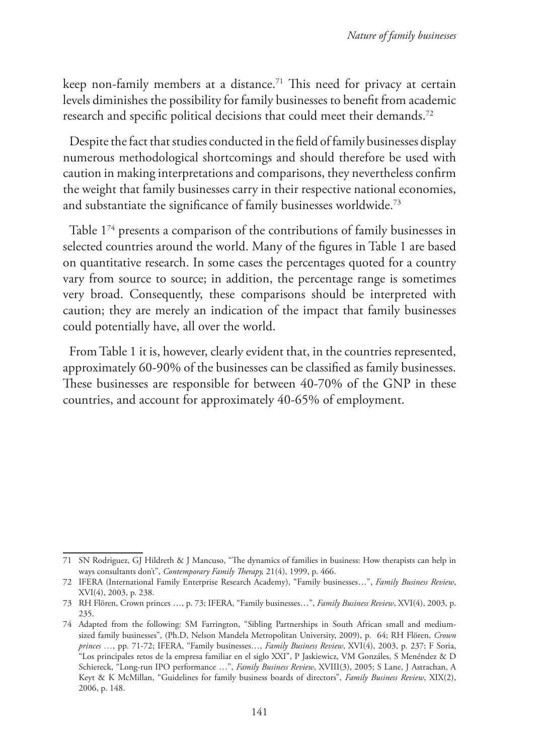keep non-family members at a distance.<sup>71</sup> This need for privacy at certain levels diminishes the possibility for family businesses to benefit from academic research and specific political decisions that could meet their demands.<sup>72</sup>

Despite the fact that studies conducted in the field of family businesses display numerous methodological shortcomings and should therefore be used with caution in making interpretations and comparisons, they nevertheless confirm the weight that family businesses carry in their respective national economies, and substantiate the significance of family businesses worldwide.<sup>73</sup>

Table 174 presents a comparison of the contributions of family businesses in selected countries around the world. Many of the figures in Table 1 are based on quantitative research. In some cases the percentages quoted for a country vary from source to source; in addition, the percentage range is sometimes very broad. Consequently, these comparisons should be interpreted with caution; they are merely an indication of the impact that family businesses could potentially have, all over the world.

From Table 1 it is, however, clearly evident that, in the countries represented, approximately 60-90% of the businesses can be classified as family businesses. These businesses are responsible for between 40-70% of the GNP in these countries, and account for approximately 40-65% of employment.

<sup>71</sup> SN Rodriguez, GJ Hildreth & J Mancuso, "The dynamics of families in business: How therapists can help in ways consultants don't", *Contemporary Family Therapy,* 21(4), 1999, p. 466.

<sup>72</sup> IFERA (International Family Enterprise Research Academy), "Family businesses…", *Family Business Review*, XVI(4), 2003, p. 238.

<sup>73</sup> RH Flören, Crown princes …, p. 73; IFERA, "Family businesses…", *Family Business Review*, XVI(4), 2003, p. 235.

<sup>74</sup> Adapted from the following: SM Farrington, "Sibling Partnerships in South African small and mediumsized family businesses", (Ph.D, Nelson Mandela Metropolitan University, 2009), p. 64; RH Flören, *Crown princes …*, pp. 71-72; IFERA, "Family businesses…, *Family Business Review*, XVI(4), 2003, p. 237; F Soria, "Los principales retos de la empresa familiar en el siglo XXI", P Jaskiewicz, VM Gonzáles, S Menéndez & D Schiereck, "Long-run IPO performance …", *Family Business Review*, XVIII(3), 2005; S Lane, J Astrachan, A Keyt & K McMillan, "Guidelines for family business boards of directors", *Family Business Review*, XIX(2), 2006, p. 148.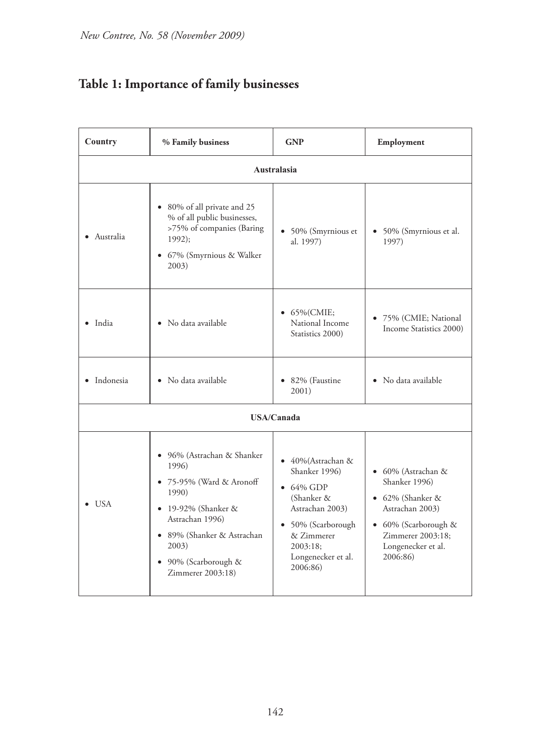# **Table 1: Importance of family businesses**

| Country            | % Family business                                                                                                                                                                                      | <b>GNP</b>                                                                                                                                                                         | Employment                                                                                                                                                        |
|--------------------|--------------------------------------------------------------------------------------------------------------------------------------------------------------------------------------------------------|------------------------------------------------------------------------------------------------------------------------------------------------------------------------------------|-------------------------------------------------------------------------------------------------------------------------------------------------------------------|
| <b>Australasia</b> |                                                                                                                                                                                                        |                                                                                                                                                                                    |                                                                                                                                                                   |
| Australia          | • 80% of all private and 25<br>% of all public businesses,<br>>75% of companies (Baring<br>$1992$ :<br>• 67% (Smyrnious & Walker<br>2003)                                                              | • 50% (Smyrnious et<br>al. 1997)                                                                                                                                                   | 50% (Smyrnious et al.<br>1997)                                                                                                                                    |
| $\bullet$ India    | • No data available                                                                                                                                                                                    | • $65\%$ (CMIE;<br>National Income<br>Statistics 2000)                                                                                                                             | · 75% (CMIE; National<br>Income Statistics 2000)                                                                                                                  |
| · Indonesia        | • No data available                                                                                                                                                                                    | • 82% (Faustine<br>2001)                                                                                                                                                           | • No data available                                                                                                                                               |
| <b>USA/Canada</b>  |                                                                                                                                                                                                        |                                                                                                                                                                                    |                                                                                                                                                                   |
| <b>USA</b>         | • 96% (Astrachan & Shanker<br>1996)<br>• 75-95% (Ward & Aronoff<br>1990)<br>• 19-92% (Shanker &<br>Astrachan 1996)<br>• 89% (Shanker & Astrachan<br>2003)<br>• 90% (Scarborough &<br>Zimmerer 2003:18) | $\bullet$ 40%(Astrachan &<br>Shanker 1996)<br>$\bullet$ 64% GDP<br>(Shanker &<br>Astrachan 2003)<br>• 50% (Scarborough<br>& Zimmerer<br>2003:18;<br>Longenecker et al.<br>2006:86) | • 60% (Astrachan &<br>Shanker 1996)<br>$\bullet$ 62% (Shanker &<br>Astrachan 2003)<br>• 60% (Scarborough &<br>Zimmerer 2003:18;<br>Longenecker et al.<br>2006:86) |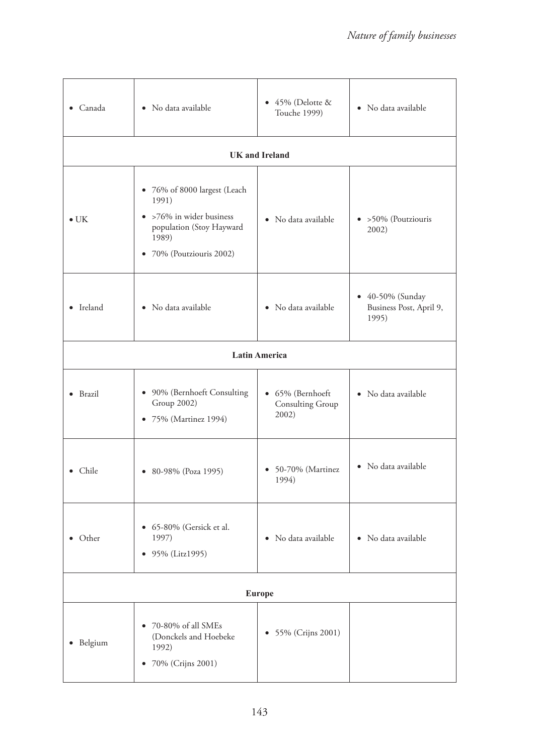| $\bullet$ Canada     | • No data available                                                                                                                | $\bullet$ 45% (Delotte &<br>Touche 1999)       | • No data available                                  |
|----------------------|------------------------------------------------------------------------------------------------------------------------------------|------------------------------------------------|------------------------------------------------------|
|                      |                                                                                                                                    | <b>UK</b> and Ireland                          |                                                      |
| $\bullet$ UK         | • 76% of 8000 largest (Leach<br>1991)<br>• >76% in wider business<br>population (Stoy Hayward<br>1989)<br>• 70% (Poutziouris 2002) | • No data available                            | $\bullet$ >50% (Poutziouris<br>2002)                 |
| • Ireland            | • No data available                                                                                                                | • No data available                            | • 40-50% (Sunday<br>Business Post, April 9,<br>1995) |
| <b>Latin America</b> |                                                                                                                                    |                                                |                                                      |
| • Brazil             | • 90% (Bernhoeft Consulting<br>Group 2002)<br>• 75% (Martinez 1994)                                                                | • 65% (Bernhoeft)<br>Consulting Group<br>2002) | • No data available                                  |
| Chile                | • 80-98% (Poza 1995)                                                                                                               | $\bullet$ 50-70% (Martinez<br>1994)            | • No data available                                  |
| Other                | • 65-80% (Gersick et al.<br>1997)<br>• 95% (Litz1995)                                                                              | • No data available                            | • No data available                                  |
| <b>Europe</b>        |                                                                                                                                    |                                                |                                                      |
| Belgium              | 70-80% of all SMEs<br>$\bullet$<br>(Donckels and Hoebeke<br>1992)<br>70% (Crijns 2001)<br>٠                                        | • 55% (Crijns 2001)                            |                                                      |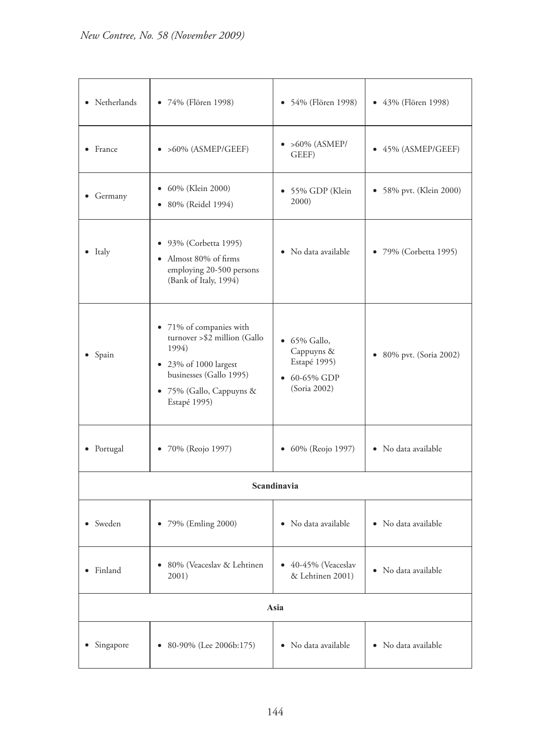| • Netherlands   | • 74% (Flören 1998)                                                                                                                                                       | • 54% (Flören 1998)                                                                        | • 43% (Flören 1998)     |
|-----------------|---------------------------------------------------------------------------------------------------------------------------------------------------------------------------|--------------------------------------------------------------------------------------------|-------------------------|
| • France        | $\bullet$ >60% (ASMEP/GEEF)                                                                                                                                               | • $>60\%$ (ASMEP/<br>GEEF)                                                                 | • 45% (ASMEP/GEEF)      |
| Germany<br>٠    | 60% (Klein 2000)<br>٠<br>• 80% (Reidel 1994)                                                                                                                              | 55% GDP (Klein<br>$\bullet$<br>2000)                                                       | • 58% pvt. (Klein 2000) |
| $\bullet$ Italy | 93% (Corbetta 1995)<br>٠<br>Almost 80% of firms<br>٠<br>employing 20-500 persons<br>(Bank of Italy, 1994)                                                                 | • No data available                                                                        | • 79% (Corbetta 1995)   |
| • Spain         | • 71% of companies with<br>turnover > \$2 million (Gallo<br>1994)<br>$\bullet$ 23% of 1000 largest<br>businesses (Gallo 1995)<br>• 75% (Gallo, Cappuyns &<br>Estapé 1995) | $\bullet$ 65% Gallo,<br>Cappuyns &<br>Estapé 1995)<br>$\bullet$ 60-65% GDP<br>(Soria 2002) | • 80% pvt. (Soria 2002) |
| • Portugal      | 70% (Reojo 1997)<br>٠                                                                                                                                                     | 60% (Reojo 1997)<br>٠                                                                      | • No data available     |
| Scandinavia     |                                                                                                                                                                           |                                                                                            |                         |
| • Sweden        | • 79% (Emling 2000)                                                                                                                                                       | • No data available                                                                        | • No data available     |
| • Finland       | • 80% (Veaceslav & Lehtinen<br>2001)                                                                                                                                      | • 40-45% (Veaceslav<br>& Lehtinen 2001)                                                    | • No data available     |
| Asia            |                                                                                                                                                                           |                                                                                            |                         |
| Singapore       | 80-90% (Lee 2006b:175)<br>٠                                                                                                                                               | • No data available                                                                        | • No data available     |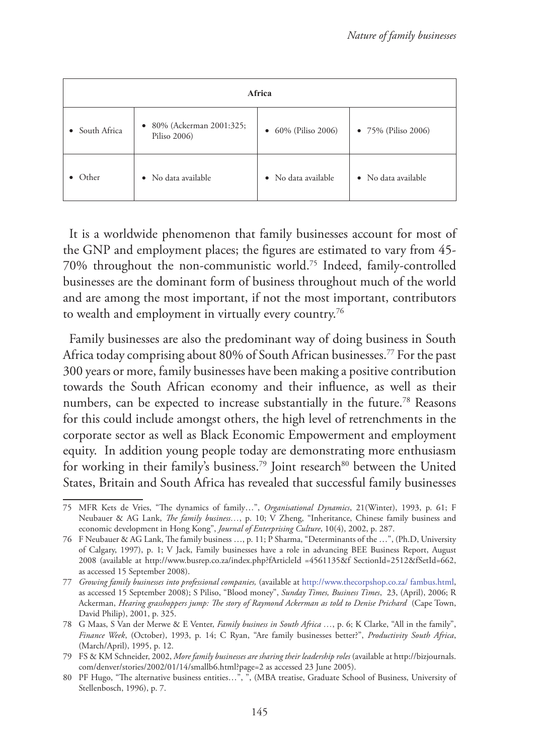| Africa                    |                                                      |                                |                             |
|---------------------------|------------------------------------------------------|--------------------------------|-----------------------------|
| South Africa<br>$\bullet$ | 80% (Ackerman 2001:325;<br>$\bullet$<br>Piliso 2006) | 60% (Piliso 2006)<br>$\bullet$ | • 75% (Piliso 2006)         |
| Other                     | $\bullet$ No data available                          | $\bullet$ No data available    | $\bullet$ No data available |

It is a worldwide phenomenon that family businesses account for most of the GNP and employment places; the figures are estimated to vary from 45- 70% throughout the non-communistic world.75 Indeed, family-controlled businesses are the dominant form of business throughout much of the world and are among the most important, if not the most important, contributors to wealth and employment in virtually every country.<sup>76</sup>

Family businesses are also the predominant way of doing business in South Africa today comprising about 80% of South African businesses.77 For the past 300 years or more, family businesses have been making a positive contribution towards the South African economy and their influence, as well as their numbers, can be expected to increase substantially in the future.<sup>78</sup> Reasons for this could include amongst others, the high level of retrenchments in the corporate sector as well as Black Economic Empowerment and employment equity. In addition young people today are demonstrating more enthusiasm for working in their family's business.<sup>79</sup> Joint research<sup>80</sup> between the United States, Britain and South Africa has revealed that successful family businesses

<sup>75</sup> MFR Kets de Vries, "The dynamics of family…", *Organisational Dynamics*, 21(Winter), 1993, p. 61; F Neubauer & AG Lank, *The family business…*, p. 10; V Zheng, "Inheritance, Chinese family business and economic development in Hong Kong", *Journal of Enterprising Culture*, 10(4), 2002, p. 287.

<sup>76</sup> F Neubauer & AG Lank, The family business …, p. 11; P Sharma, "Determinants of the …", (Ph.D, University of Calgary, 1997), p. 1; V Jack, Family businesses have a role in advancing BEE Business Report, August 2008 (available at http://www.busrep.co.za/index.php?fArticleId =4561135&f SectionId=2512&fSetId=662, as accessed 15 September 2008).

<sup>77</sup> *Growing family businesses into professional companies,* (available at http://www.thecorpshop.co.za/ fambus.html, as accessed 15 September 2008); S Piliso, "Blood money", *Sunday Times, Business Times*, 23, (April), 2006; R Ackerman, *Hearing grasshoppers jump: The story of Raymond Ackerman as told to Denise Prichard* (Cape Town, David Philip), 2001, p. 325.

<sup>78</sup> G Maas, S Van der Merwe & E Venter, *Family business in South Africa …*, p. 6; K Clarke, "All in the family", *Finance Week*, (October), 1993, p. 14; C Ryan, "Are family businesses better?", *Productivity South Africa*, (March/April), 1995, p. 12.

<sup>79</sup> FS & KM Schneider, 2002, *More family businesses are sharing their leadership roles* (available at http://bizjournals. com/denver/stories/2002/01/14/smallb6.html?page=2 as accessed 23 June 2005).

<sup>80</sup> PF Hugo, "The alternative business entities…", ", (MBA treatise, Graduate School of Business, University of Stellenbosch, 1996), p. 7.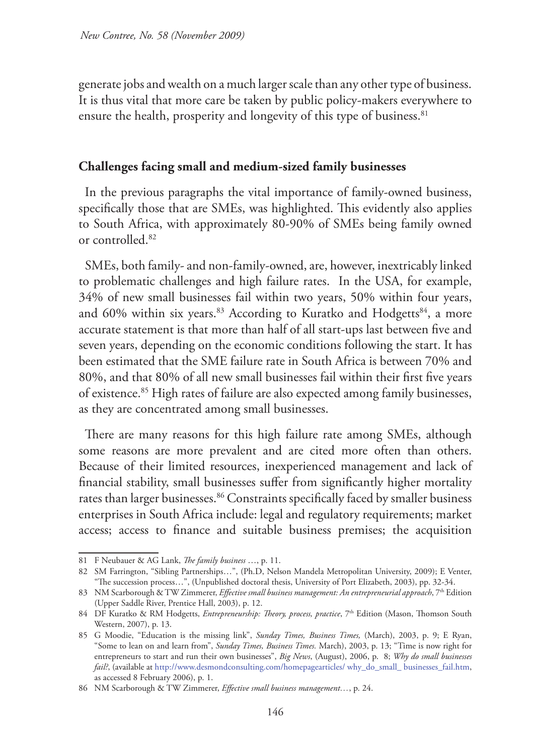generate jobs and wealth on a much larger scale than any other type of business. It is thus vital that more care be taken by public policy-makers everywhere to ensure the health, prosperity and longevity of this type of business.<sup>81</sup>

### **Challenges facing small and medium-sized family businesses**

In the previous paragraphs the vital importance of family-owned business, specifically those that are SMEs, was highlighted. This evidently also applies to South Africa, with approximately 80-90% of SMEs being family owned or controlled.82

SMEs, both family- and non-family-owned, are, however, inextricably linked to problematic challenges and high failure rates. In the USA, for example, 34% of new small businesses fail within two years, 50% within four years, and 60% within six years.<sup>83</sup> According to Kuratko and Hodgetts<sup>84</sup>, a more accurate statement is that more than half of all start-ups last between five and seven years, depending on the economic conditions following the start. It has been estimated that the SME failure rate in South Africa is between 70% and 80%, and that 80% of all new small businesses fail within their first five years of existence.85 High rates of failure are also expected among family businesses, as they are concentrated among small businesses.

There are many reasons for this high failure rate among SMEs, although some reasons are more prevalent and are cited more often than others. Because of their limited resources, inexperienced management and lack of financial stability, small businesses suffer from significantly higher mortality rates than larger businesses.<sup>86</sup> Constraints specifically faced by smaller business enterprises in South Africa include: legal and regulatory requirements; market access; access to finance and suitable business premises; the acquisition

<sup>81</sup> F Neubauer & AG Lank, *The family business* …, p. 11.

<sup>82</sup> SM Farrington, "Sibling Partnerships…", (Ph.D, Nelson Mandela Metropolitan University, 2009); E Venter, "The succession process…", (Unpublished doctoral thesis, University of Port Elizabeth, 2003), pp. 32-34.

<sup>83</sup> NM Scarborough & TW Zimmerer, *Effective small business management: An entrepreneurial approach*, 7<sup>th</sup> Edition (Upper Saddle River, Prentice Hall, 2003), p. 12.

<sup>84</sup> DF Kuratko & RM Hodgetts, *Entrepreneurship: Theory, process, practice*, 7<sup>th</sup> Edition (Mason, Thomson South Western, 2007), p. 13.

<sup>85</sup> G Moodie, "Education is the missing link", *Sunday Times, Business Times,* (March), 2003, p. 9; E Ryan, "Some to lean on and learn from", *Sunday Times, Business Times.* March), 2003, p. 13; "Time is now right for entrepreneurs to start and run their own businesses", *Big News*, (August), 2006, p. 8; *Why do small businesses fail?*, (available at http://www.desmondconsulting.com/homepagearticles/ why\_do\_small\_ businesses\_fail.htm, as accessed 8 February 2006), p. 1.

<sup>86</sup> NM Scarborough & TW Zimmerer, *Effective small business management…*, p. 24.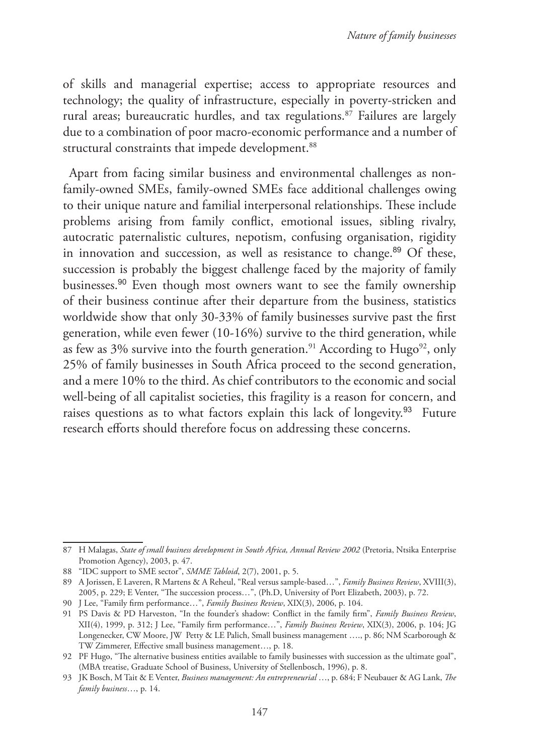of skills and managerial expertise; access to appropriate resources and technology; the quality of infrastructure, especially in poverty-stricken and rural areas; bureaucratic hurdles, and tax regulations.<sup>87</sup> Failures are largely due to a combination of poor macro-economic performance and a number of structural constraints that impede development.<sup>88</sup>

Apart from facing similar business and environmental challenges as nonfamily-owned SMEs, family-owned SMEs face additional challenges owing to their unique nature and familial interpersonal relationships. These include problems arising from family conflict, emotional issues, sibling rivalry, autocratic paternalistic cultures, nepotism, confusing organisation, rigidity in innovation and succession, as well as resistance to change.<sup>89</sup> Of these, succession is probably the biggest challenge faced by the majority of family businesses.<sup>90</sup> Even though most owners want to see the family ownership of their business continue after their departure from the business, statistics worldwide show that only 30-33% of family businesses survive past the first generation, while even fewer (10-16%) survive to the third generation, while as few as  $3\%$  survive into the fourth generation.<sup>91</sup> According to Hugo<sup>92</sup>, only 25% of family businesses in South Africa proceed to the second generation, and a mere 10% to the third. As chief contributors to the economic and social well-being of all capitalist societies, this fragility is a reason for concern, and raises questions as to what factors explain this lack of longevity.<sup>93</sup> Future research efforts should therefore focus on addressing these concerns.

<sup>87</sup> H Malagas, *State of small business development in South Africa, Annual Review 2002* (Pretoria, Ntsika Enterprise Promotion Agency), 2003, p. 47.

<sup>88</sup> "IDC support to SME sector", *SMME Tabloid*, 2(7), 2001, p. 5.

<sup>89</sup> A Jorissen, E Laveren, R Martens & A Reheul, "Real versus sample-based…", *Family Business Review*, XVIII(3), 2005, p. 229; E Venter, "The succession process…", (Ph.D, University of Port Elizabeth, 2003), p. 72.

<sup>90</sup> J Lee, "Family firm performance…", *Family Business Review*, XIX(3), 2006, p. 104.

<sup>91</sup> PS Davis & PD Harveston, "In the founder's shadow: Conflict in the family firm", *Family Business Review*, XII(4), 1999, p. 312; J Lee, "Family firm performance…", *Family Business Review*, XIX(3), 2006, p. 104; JG Longenecker, CW Moore, JW Petty & LE Palich, Small business management ...., p. 86; NM Scarborough & TW Zimmerer, Effective small business management…, p. 18.

<sup>92</sup> PF Hugo, "The alternative business entities available to family businesses with succession as the ultimate goal", (MBA treatise, Graduate School of Business, University of Stellenbosch, 1996), p. 8.

<sup>93</sup> JK Bosch, M Tait & E Venter, *Business management: An entrepreneurial* …, p. 684; F Neubauer & AG Lank, *The family business*…, p. 14.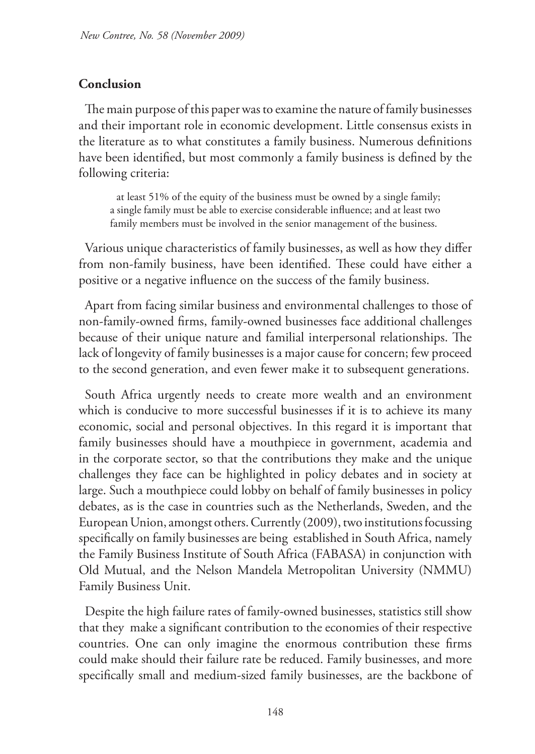## **Conclusion**

The main purpose of this paper was to examine the nature of family businesses and their important role in economic development. Little consensus exists in the literature as to what constitutes a family business. Numerous definitions have been identified, but most commonly a family business is defined by the following criteria:

at least 51% of the equity of the business must be owned by a single family; a single family must be able to exercise considerable influence; and at least two family members must be involved in the senior management of the business.

Various unique characteristics of family businesses, as well as how they differ from non-family business, have been identified. These could have either a positive or a negative influence on the success of the family business.

Apart from facing similar business and environmental challenges to those of non-family-owned firms, family-owned businesses face additional challenges because of their unique nature and familial interpersonal relationships. The lack of longevity of family businesses is a major cause for concern; few proceed to the second generation, and even fewer make it to subsequent generations.

South Africa urgently needs to create more wealth and an environment which is conducive to more successful businesses if it is to achieve its many economic, social and personal objectives. In this regard it is important that family businesses should have a mouthpiece in government, academia and in the corporate sector, so that the contributions they make and the unique challenges they face can be highlighted in policy debates and in society at large. Such a mouthpiece could lobby on behalf of family businesses in policy debates, as is the case in countries such as the Netherlands, Sweden, and the European Union, amongst others. Currently (2009), two institutions focussing specifically on family businesses are being established in South Africa, namely the Family Business Institute of South Africa (FABASA) in conjunction with Old Mutual, and the Nelson Mandela Metropolitan University (NMMU) Family Business Unit.

Despite the high failure rates of family-owned businesses, statistics still show that they make a significant contribution to the economies of their respective countries. One can only imagine the enormous contribution these firms could make should their failure rate be reduced. Family businesses, and more specifically small and medium-sized family businesses, are the backbone of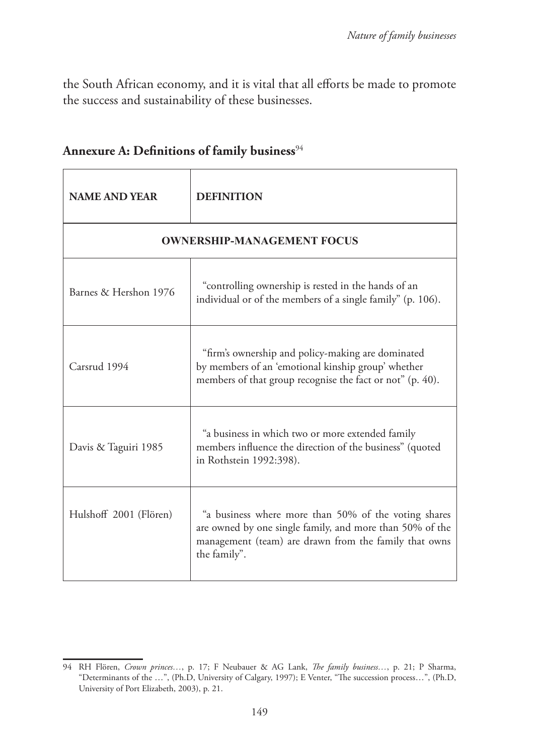the South African economy, and it is vital that all efforts be made to promote the success and sustainability of these businesses.

| <b>NAME AND YEAR</b>              | <b>DEFINITION</b>                                                                                                                                                                         |  |
|-----------------------------------|-------------------------------------------------------------------------------------------------------------------------------------------------------------------------------------------|--|
| <b>OWNERSHIP-MANAGEMENT FOCUS</b> |                                                                                                                                                                                           |  |
| Barnes & Hershon 1976             | "controlling ownership is rested in the hands of an<br>individual or of the members of a single family" (p. 106).                                                                         |  |
| Carsrud 1994                      | "firm's ownership and policy-making are dominated<br>by members of an 'emotional kinship group' whether<br>members of that group recognise the fact or not" (p. 40).                      |  |
| Davis & Taguiri 1985              | "a business in which two or more extended family<br>members influence the direction of the business" (quoted<br>in Rothstein 1992:398).                                                   |  |
| Hulshoff 2001 (Flören)            | "a business where more than 50% of the voting shares<br>are owned by one single family, and more than 50% of the<br>management (team) are drawn from the family that owns<br>the family". |  |

## Annexure A: Definitions of family business<sup>94</sup>

<sup>94</sup> RH Flören, *Crown princes…*, p. 17; F Neubauer & AG Lank, *The family business…*, p. 21; P Sharma, "Determinants of the …", (Ph.D, University of Calgary, 1997); E Venter, "The succession process…", (Ph.D, University of Port Elizabeth, 2003), p. 21.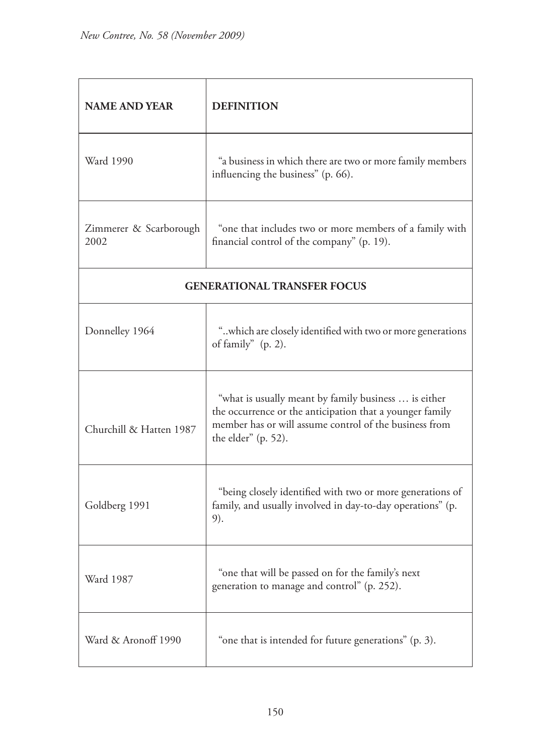| <b>NAME AND YEAR</b>               | <b>DEFINITION</b>                                                                                                                                                                                    |  |
|------------------------------------|------------------------------------------------------------------------------------------------------------------------------------------------------------------------------------------------------|--|
| <b>Ward 1990</b>                   | "a business in which there are two or more family members<br>influencing the business" (p. 66).                                                                                                      |  |
| Zimmerer & Scarborough<br>2002     | "one that includes two or more members of a family with<br>financial control of the company" (p. 19).                                                                                                |  |
| <b>GENERATIONAL TRANSFER FOCUS</b> |                                                                                                                                                                                                      |  |
| Donnelley 1964                     | "which are closely identified with two or more generations<br>of family" (p. 2).                                                                                                                     |  |
| Churchill & Hatten 1987            | "what is usually meant by family business  is either<br>the occurrence or the anticipation that a younger family<br>member has or will assume control of the business from<br>the elder" $(p. 52)$ . |  |
| Goldberg 1991                      | "being closely identified with two or more generations of<br>family, and usually involved in day-to-day operations" (p.<br>9).                                                                       |  |
| Ward 1987                          | "one that will be passed on for the family's next<br>generation to manage and control" (p. 252).                                                                                                     |  |
| Ward & Aronoff 1990                | "one that is intended for future generations" (p. 3).                                                                                                                                                |  |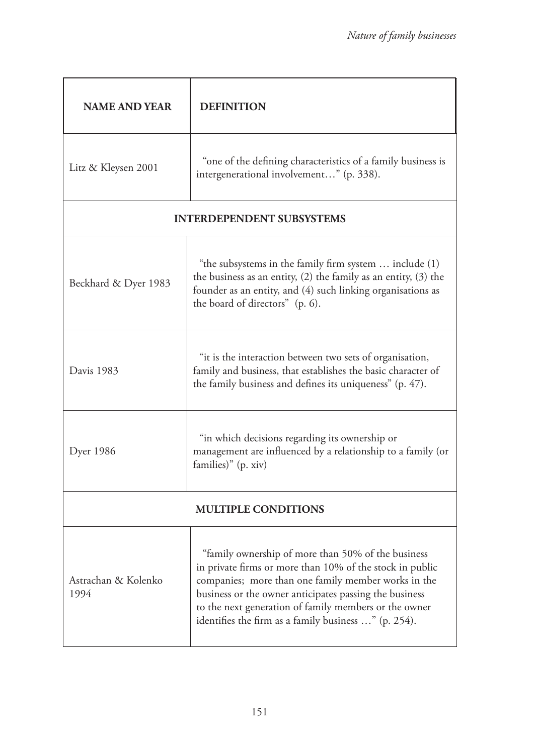| <b>NAME AND YEAR</b>        | <b>DEFINITION</b>                                                                                                                                                                                                                                                                                                                                |  |  |
|-----------------------------|--------------------------------------------------------------------------------------------------------------------------------------------------------------------------------------------------------------------------------------------------------------------------------------------------------------------------------------------------|--|--|
| Litz & Kleysen 2001         | "one of the defining characteristics of a family business is<br>intergenerational involvement" (p. 338).                                                                                                                                                                                                                                         |  |  |
|                             | <b>INTERDEPENDENT SUBSYSTEMS</b>                                                                                                                                                                                                                                                                                                                 |  |  |
| Beckhard & Dyer 1983        | "the subsystems in the family firm system  include (1)<br>the business as an entity, (2) the family as an entity, (3) the<br>founder as an entity, and (4) such linking organisations as<br>the board of directors" (p. 6).                                                                                                                      |  |  |
| Davis 1983                  | "it is the interaction between two sets of organisation,<br>family and business, that establishes the basic character of<br>the family business and defines its uniqueness" (p. 47).                                                                                                                                                             |  |  |
| <b>Dyer 1986</b>            | "in which decisions regarding its ownership or<br>management are influenced by a relationship to a family (or<br>families)" (p. xiv)                                                                                                                                                                                                             |  |  |
| <b>MULTIPLE CONDITIONS</b>  |                                                                                                                                                                                                                                                                                                                                                  |  |  |
| Astrachan & Kolenko<br>1994 | "family ownership of more than 50% of the business<br>in private firms or more than 10% of the stock in public<br>companies; more than one family member works in the<br>business or the owner anticipates passing the business<br>to the next generation of family members or the owner<br>identifies the firm as a family business " (p. 254). |  |  |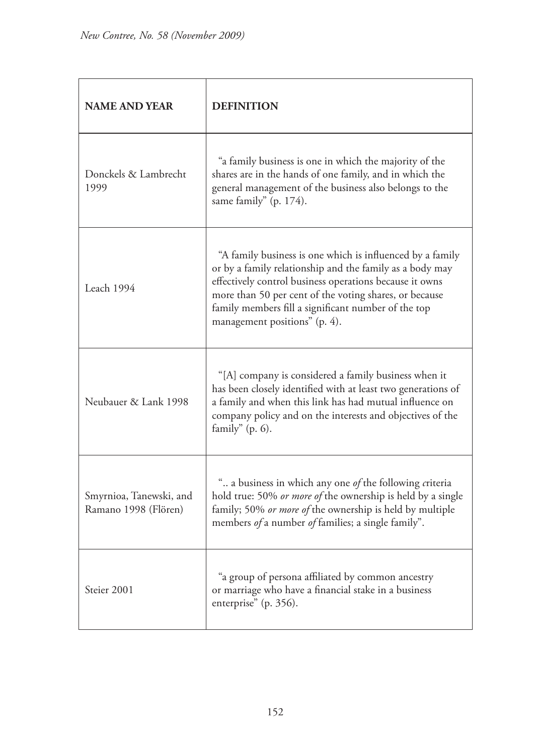| <b>NAME AND YEAR</b>                            | <b>DEFINITION</b>                                                                                                                                                                                                                                                                                                                  |
|-------------------------------------------------|------------------------------------------------------------------------------------------------------------------------------------------------------------------------------------------------------------------------------------------------------------------------------------------------------------------------------------|
| Donckels & Lambrecht<br>1999                    | "a family business is one in which the majority of the<br>shares are in the hands of one family, and in which the<br>general management of the business also belongs to the<br>same family" (p. 174).                                                                                                                              |
| Leach 1994                                      | "A family business is one which is influenced by a family<br>or by a family relationship and the family as a body may<br>effectively control business operations because it owns<br>more than 50 per cent of the voting shares, or because<br>family members fill a significant number of the top<br>management positions" (p. 4). |
| Neubauer & Lank 1998                            | "[A] company is considered a family business when it<br>has been closely identified with at least two generations of<br>a family and when this link has had mutual influence on<br>company policy and on the interests and objectives of the<br>family" $(p. 6)$ .                                                                 |
| Smyrnioa, Tanewski, and<br>Ramano 1998 (Flören) | " a business in which any one of the following criteria<br>hold true: 50% or more of the ownership is held by a single<br>family; 50% or more of the ownership is held by multiple<br>members of a number of families; a single family".                                                                                           |
| Steier 2001                                     | "a group of persona affiliated by common ancestry<br>or marriage who have a financial stake in a business<br>enterprise" (p. 356).                                                                                                                                                                                                 |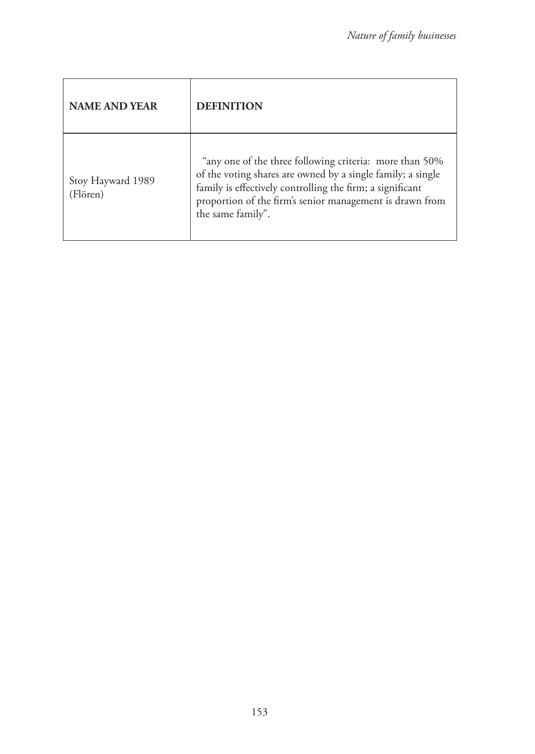| <b>NAME AND YEAR</b>          | <b>DEFINITION</b>                                                                                                                                                                                                                                                    |
|-------------------------------|----------------------------------------------------------------------------------------------------------------------------------------------------------------------------------------------------------------------------------------------------------------------|
| Stoy Hayward 1989<br>(Flören) | "any one of the three following criteria: more than 50%<br>of the voting shares are owned by a single family; a single<br>family is effectively controlling the firm; a significant<br>proportion of the firm's senior management is drawn from<br>the same family". |